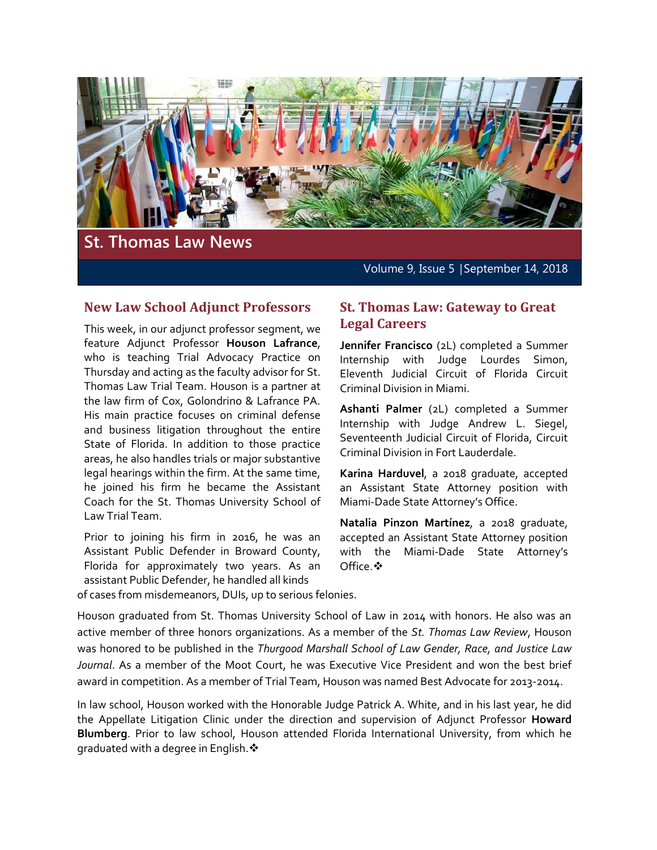

Volume 9, Issue 5 │September 14, 2018

#### **New Law School Adjunct Professors**

This week, in our adjunct professor segment, we feature Adjunct Professor **Houson Lafrance**, who is teaching Trial Advocacy Practice on Thursday and acting as the faculty advisor for St. Thomas Law Trial Team. Houson is a partner at the law firm of Cox, Golondrino & Lafrance PA. His main practice focuses on criminal defense and business litigation throughout the entire State of Florida. In addition to those practice areas, he also handles trials or major substantive legal hearings within the firm. At the same time, he joined his firm he became the Assistant Coach for the St. Thomas University School of Law Trial Team.

Prior to joining his firm in 2016, he was an Assistant Public Defender in Broward County, Florida for approximately two years. As an assistant Public Defender, he handled all kinds

#### **St. Thomas Law: Gateway to Great Legal Careers**

**Jennifer Francisco** (2L) completed a Summer Internship with Judge Lourdes Simon, Eleventh Judicial Circuit of Florida Circuit Criminal Division in Miami.

**Ashanti Palmer** (2L) completed a Summer Internship with Judge Andrew L. Siegel, Seventeenth Judicial Circuit of Florida, Circuit Criminal Division in Fort Lauderdale.

**Karina Harduvel**, a 2018 graduate, accepted an Assistant State Attorney position with Miami-Dade State Attorney's Office.

**Natalia Pinzon Martínez**, a 2018 graduate, accepted an Assistant State Attorney position with the Miami-Dade State Attorney's Office. ❖

of cases from misdemeanors, DUIs, up to serious felonies.

Houson graduated from St. Thomas University School of Law in 2014 with honors. He also was an active member of three honors organizations. As a member of the *St. Thomas Law Review*, Houson was honored to be published in the *Thurgood Marshall School of Law Gender, Race, and Justice Law Journal*. As a member of the Moot Court, he was Executive Vice President and won the best brief award in competition. As a member of Trial Team, Houson was named Best Advocate for 2013-2014.

In law school, Houson worked with the Honorable Judge Patrick A. White, and in his last year, he did the Appellate Litigation Clinic under the direction and supervision of Adjunct Professor **Howard Blumberg**. Prior to law school, Houson attended Florida International University, from which he graduated with a degree in English.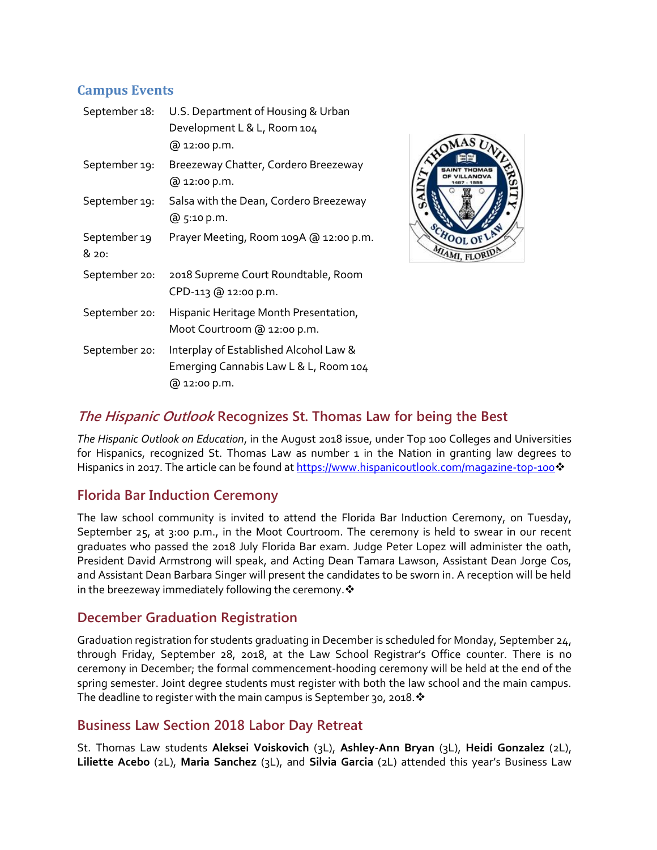# **Campus Events**

| September 18:         | U.S. Department of Housing & Urban<br>Development L & L, Room 104<br>@ 12:00 p.m.               |
|-----------------------|-------------------------------------------------------------------------------------------------|
| September 19:         | Breezeway Chatter, Cordero Breezeway<br>@ 12:00 p.m.                                            |
| September 19:         | Salsa with the Dean, Cordero Breezeway<br>@ 5:10 p.m.                                           |
| September 19<br>& 20: | Prayer Meeting, Room 109A @ 12:00 p.m.                                                          |
| September 20:         | 2018 Supreme Court Roundtable, Room<br>CPD-113 @ 12:00 p.m.                                     |
| September 20:         | Hispanic Heritage Month Presentation,<br>Moot Courtroom @ 12:00 p.m.                            |
| September 20:         | Interplay of Established Alcohol Law &<br>Emerging Cannabis Law L & L, Room 104<br>@ 12:00 p.m. |



# **The Hispanic Outlook Recognizes St. Thomas Law for being the Best**

*The Hispanic Outlook on Education*, in the August 2018 issue, under Top 100 Colleges and Universities for Hispanics, recognized St. Thomas Law as number 1 in the Nation in granting law degrees to Hispanics in 2017. The article can be found a[t https://www.hispanicoutlook.com/magazine-top-100](https://www.hispanicoutlook.com/magazine-top-100)❖

#### **Florida Bar Induction Ceremony**

The law school community is invited to attend the Florida Bar Induction Ceremony, on Tuesday, September 25, at 3:00 p.m., in the Moot Courtroom. The ceremony is held to swear in our recent graduates who passed the 2018 July Florida Bar exam. Judge Peter Lopez will administer the oath, President David Armstrong will speak, and Acting Dean Tamara Lawson, Assistant Dean Jorge Cos, and Assistant Dean Barbara Singer will present the candidates to be sworn in. A reception will be held in the breezeway immediately following the ceremony.  $\clubsuit$ 

#### **December Graduation Registration**

Graduation registration for students graduating in December is scheduled for Monday, September 24, through Friday, September 28, 2018, at the Law School Registrar's Office counter. There is no ceremony in December; the formal commencement-hooding ceremony will be held at the end of the spring semester. Joint degree students must register with both the law school and the main campus. The deadline to register with the main campus is September 30, 2018.  $\cdot$ 

#### **Business Law Section 2018 Labor Day Retreat**

St. Thomas Law students **Aleksei Voiskovich** (3L), **Ashley-Ann Bryan** (3L), **Heidi Gonzalez** (2L), **Liliette Acebo** (2L), **Maria Sanchez** (3L), and **Silvia Garcia** (2L) attended this year's Business Law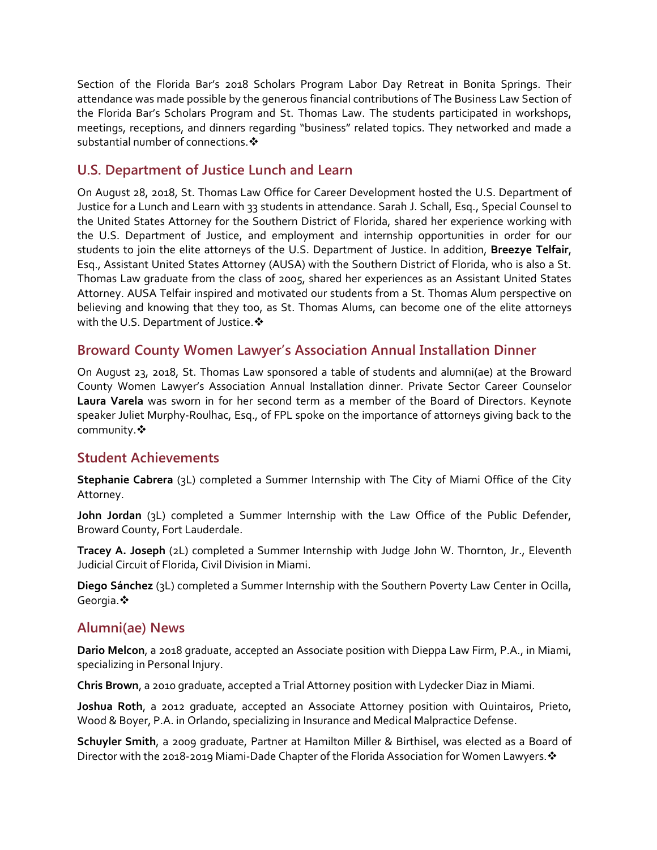Section of the Florida Bar's 2018 Scholars Program Labor Day Retreat in Bonita Springs. Their attendance was made possible by the generous financial contributions of The Business Law Section of the Florida Bar's Scholars Program and St. Thomas Law. The students participated in workshops, meetings, receptions, and dinners regarding "business" related topics. They networked and made a substantial number of connections.

## **U.S. Department of Justice Lunch and Learn**

On August 28, 2018, St. Thomas Law Office for Career Development hosted the U.S. Department of Justice for a Lunch and Learn with 33 students in attendance. Sarah J. Schall, Esq., Special Counsel to the United States Attorney for the Southern District of Florida, shared her experience working with the U.S. Department of Justice, and employment and internship opportunities in order for our students to join the elite attorneys of the U.S. Department of Justice. In addition, **Breezye Telfair**, Esq., Assistant United States Attorney (AUSA) with the Southern District of Florida, who is also a St. Thomas Law graduate from the class of 2005, shared her experiences as an Assistant United States Attorney. AUSA Telfair inspired and motivated our students from a St. Thomas Alum perspective on believing and knowing that they too, as St. Thomas Alums, can become one of the elite attorneys with the U.S. Department of Justice.  $\cdot$ 

#### **Broward County Women Lawyer's Association Annual Installation Dinner**

On August 23, 2018, St. Thomas Law sponsored a table of students and alumni(ae) at the Broward County Women Lawyer's Association Annual Installation dinner. Private Sector Career Counselor **Laura Varela** was sworn in for her second term as a member of the Board of Directors. Keynote speaker Juliet Murphy-Roulhac, Esq., of FPL spoke on the importance of attorneys giving back to the community. ❖

#### **Student Achievements**

**Stephanie Cabrera** (3L) completed a Summer Internship with The City of Miami Office of the City Attorney.

**John Jordan** (3L) completed a Summer Internship with the Law Office of the Public Defender, Broward County, Fort Lauderdale.

**Tracey A. Joseph** (2L) completed a Summer Internship with Judge John W. Thornton, Jr., Eleventh Judicial Circuit of Florida, Civil Division in Miami.

**Diego Sánchez** (3L) completed a Summer Internship with the Southern Poverty Law Center in Ocilla, Georgia. ❖

# **Alumni(ae) News**

**Dario Melcon**, a 2018 graduate, accepted an Associate position with Dieppa Law Firm, P.A., in Miami, specializing in Personal Injury.

**Chris Brown**, a 2010 graduate, accepted a Trial Attorney position with Lydecker Diaz in Miami.

**Joshua Roth**, a 2012 graduate, accepted an Associate Attorney position with Quintairos, Prieto, Wood & Boyer, P.A. in Orlando, specializing in Insurance and Medical Malpractice Defense.

**Schuyler Smith**, a 2009 graduate, Partner at Hamilton Miller & Birthisel, was elected as a Board of Director with the 2018-2019 Miami-Dade Chapter of the Florida Association for Women Lawyers. ❖